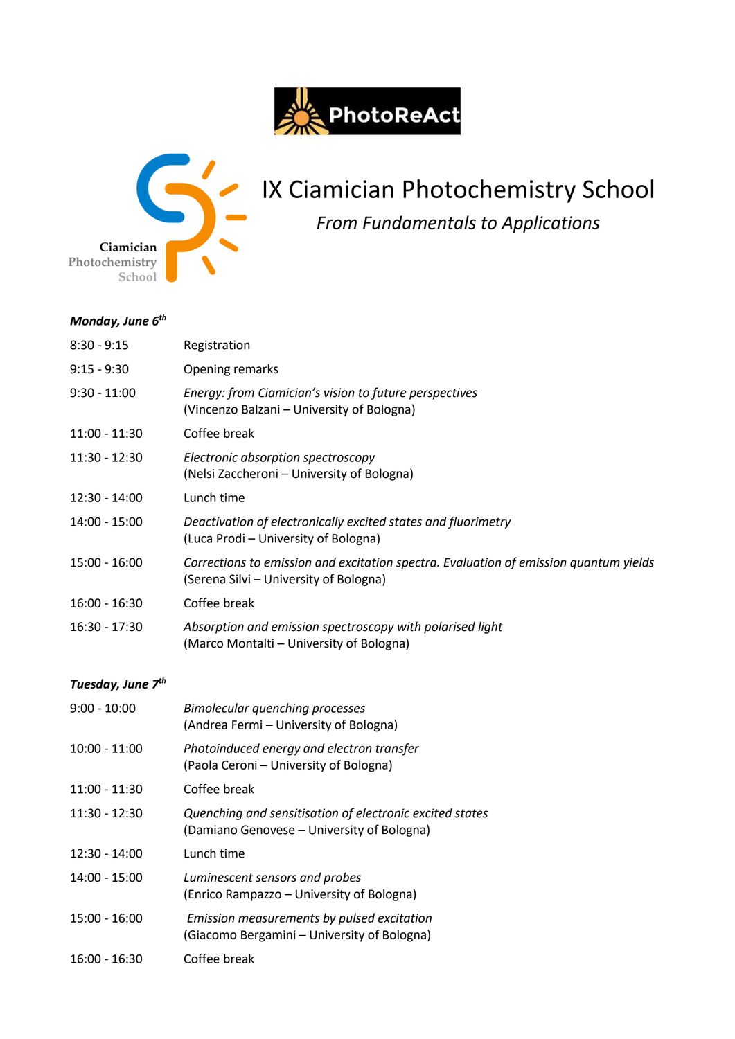



## IX Ciamician Photochemistry School *From Fundamentals to Applications*

*Monday, June 6 th*

| $8:30 - 9:15$                 | Registration                                                                                                                    |
|-------------------------------|---------------------------------------------------------------------------------------------------------------------------------|
| $9:15 - 9:30$                 | Opening remarks                                                                                                                 |
| $9:30 - 11:00$                | Energy: from Ciamician's vision to future perspectives<br>(Vincenzo Balzani - University of Bologna)                            |
| $11:00 - 11:30$               | Coffee break                                                                                                                    |
| 11:30 - 12:30                 | Electronic absorption spectroscopy<br>(Nelsi Zaccheroni - University of Bologna)                                                |
| 12:30 - 14:00                 | Lunch time                                                                                                                      |
| 14:00 - 15:00                 | Deactivation of electronically excited states and fluorimetry<br>(Luca Prodi - University of Bologna)                           |
| 15:00 - 16:00                 | Corrections to emission and excitation spectra. Evaluation of emission quantum yields<br>(Serena Silvi - University of Bologna) |
| $16:00 - 16:30$               | Coffee break                                                                                                                    |
| 16:30 - 17:30                 | Absorption and emission spectroscopy with polarised light<br>(Marco Montalti - University of Bologna)                           |
|                               |                                                                                                                                 |
| Tuesday, June 7 <sup>th</sup> |                                                                                                                                 |
| $9:00 - 10:00$                | <b>Bimolecular quenching processes</b><br>(Andrea Fermi - University of Bologna)                                                |
| $10:00 - 11:00$               | Photoinduced energy and electron transfer<br>(Paola Ceroni - University of Bologna)                                             |
| 11:00 - 11:30                 | Coffee break                                                                                                                    |
| $11:30 - 12:30$               | Quenching and sensitisation of electronic excited states<br>(Damiano Genovese - University of Bologna)                          |
| 12:30 - 14:00                 | Lunch time                                                                                                                      |
| 14:00 - 15:00                 | Luminescent sensors and probes<br>(Enrico Rampazzo - University of Bologna)                                                     |
| 15:00 - 16:00                 | Emission measurements by pulsed excitation<br>(Giacomo Bergamini - University of Bologna)                                       |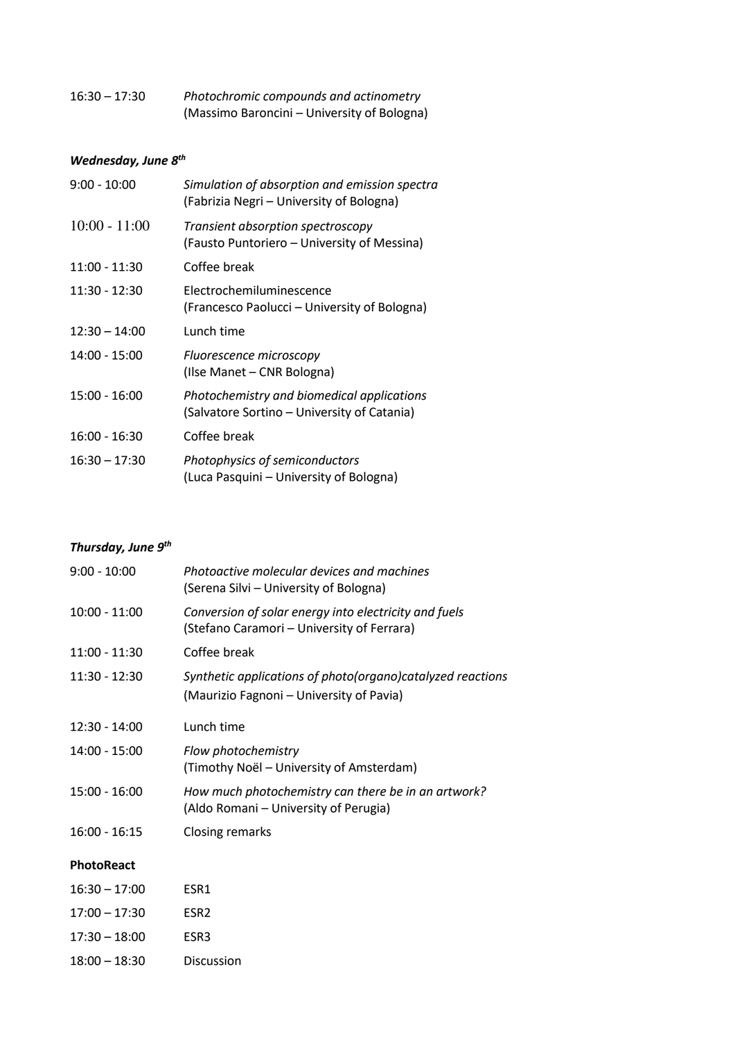| $16:30 - 17:30$ | Photochromic compounds and actinometry      |
|-----------------|---------------------------------------------|
|                 | (Massimo Baroncini – University of Bologna) |

## *Wednesday, June 8 th*

| $9:00 - 10:00$  | Simulation of absorption and emission spectra<br>(Fabrizia Negri – University of Bologna) |
|-----------------|-------------------------------------------------------------------------------------------|
| $10:00 - 11:00$ | Transient absorption spectroscopy<br>(Fausto Puntoriero - University of Messina)          |
| $11:00 - 11:30$ | Coffee break                                                                              |
| $11:30 - 12:30$ | Electrochemiluminescence<br>(Francesco Paolucci – University of Bologna)                  |
| $12:30 - 14:00$ | Lunch time                                                                                |
| $14:00 - 15:00$ | Fluorescence microscopy<br>(Ilse Manet – CNR Bologna)                                     |
| $15:00 - 16:00$ | Photochemistry and biomedical applications<br>(Salvatore Sortino – University of Catania) |
| 16:00 - 16:30   | Coffee break                                                                              |
| $16:30 - 17:30$ | Photophysics of semiconductors<br>(Luca Pasquini - University of Bologna)                 |

## *Thursday, June 9 th*

| $9:00 - 10:00$    | Photoactive molecular devices and machines<br>(Serena Silvi – University of Bologna)                   |
|-------------------|--------------------------------------------------------------------------------------------------------|
| $10:00 - 11:00$   | Conversion of solar energy into electricity and fuels<br>(Stefano Caramori – University of Ferrara)    |
| $11:00 - 11:30$   | Coffee break                                                                                           |
| $11:30 - 12:30$   | Synthetic applications of photo(organo)catalyzed reactions<br>(Maurizio Fagnoni – University of Pavia) |
| $12:30 - 14:00$   | Lunch time                                                                                             |
| $14:00 - 15:00$   | Flow photochemistry<br>(Timothy Noël - University of Amsterdam)                                        |
| $15:00 - 16:00$   | How much photochemistry can there be in an artwork?<br>(Aldo Romani – University of Perugia)           |
| $16:00 - 16:15$   | <b>Closing remarks</b>                                                                                 |
| <b>PhotoReact</b> |                                                                                                        |
| $16:30 - 17:00$   | ESR1                                                                                                   |

| $17:00 - 17:30$ | ESR <sub>2</sub> |
|-----------------|------------------|
| $17:30 - 18:00$ | ESR3             |
| $18:00 - 18:30$ | Discussion       |